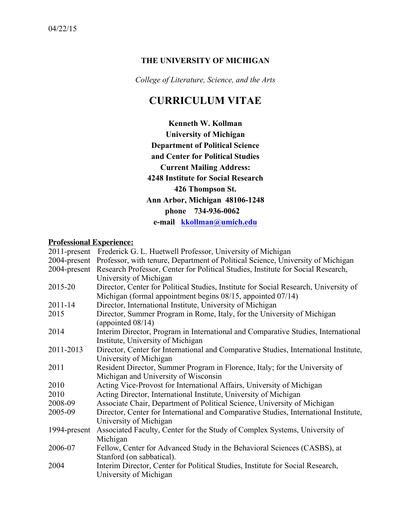## **THE UNIVERSITY OF MICHIGAN**

*College of Literature, Science, and the Arts*

# **CURRICULUM VITAE**

**Kenneth W. Kollman University of Michigan Department of Political Science and Center for Political Studies Current Mailing Address: 4248 Institute for Social Research 426 Thompson St. Ann Arbor, Michigan 48106-1248 phone 734-936-0062 e-mail kkollman@umich.edu**

#### **Professional Experience:**

|              | 2011-present Frederick G. L. Huetwell Professor, University of Michigan                       |
|--------------|-----------------------------------------------------------------------------------------------|
|              | 2004-present Professor, with tenure, Department of Political Science, University of Michigan  |
|              | 2004-present Research Professor, Center for Political Studies, Institute for Social Research, |
|              | University of Michigan                                                                        |
| 2015-20      | Director, Center for Political Studies, Institute for Social Research, University of          |
|              | Michigan (formal appointment begins $08/15$ , appointed $07/14$ )                             |
| $2011 - 14$  | Director, International Institute, University of Michigan                                     |
| 2015         | Director, Summer Program in Rome, Italy, for the University of Michigan                       |
|              | (appointed $08/14$ )                                                                          |
| 2014         | Interim Director, Program in International and Comparative Studies, International             |
|              | Institute, University of Michigan                                                             |
| 2011-2013    | Director, Center for International and Comparative Studies, International Institute,          |
|              | University of Michigan                                                                        |
| 2011         | Resident Director, Summer Program in Florence, Italy; for the University of                   |
|              | Michigan and University of Wisconsin                                                          |
| 2010         | Acting Vice-Provost for International Affairs, University of Michigan                         |
| 2010         | Acting Director, International Institute, University of Michigan                              |
| 2008-09      | Associate Chair, Department of Political Science, University of Michigan                      |
| 2005-09      | Director, Center for International and Comparative Studies, International Institute,          |
|              | University of Michigan                                                                        |
| 1994-present | Associated Faculty, Center for the Study of Complex Systems, University of                    |
|              | Michigan                                                                                      |
| 2006-07      | Fellow, Center for Advanced Study in the Behavioral Sciences (CASBS), at                      |
|              | Stanford (on sabbatical).                                                                     |
| 2004         | Interim Director, Center for Political Studies, Institute for Social Research,                |
|              | University of Michigan                                                                        |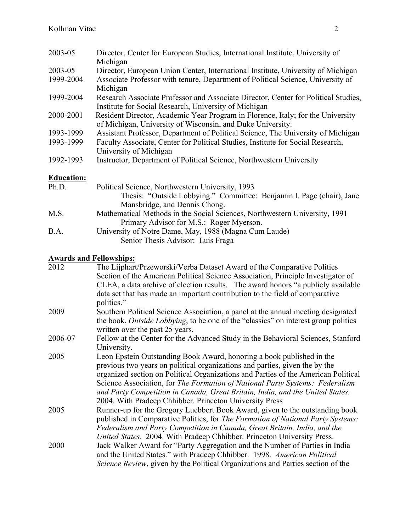| 2003-05           | Director, Center for European Studies, International Institute, University of<br>Michigan                                                     |
|-------------------|-----------------------------------------------------------------------------------------------------------------------------------------------|
| 2003-05           | Director, European Union Center, International Institute, University of Michigan                                                              |
| 1999-2004         | Associate Professor with tenure, Department of Political Science, University of<br>Michigan                                                   |
| 1999-2004         | Research Associate Professor and Associate Director, Center for Political Studies,<br>Institute for Social Research, University of Michigan   |
| 2000-2001         | Resident Director, Academic Year Program in Florence, Italy; for the University<br>of Michigan, University of Wisconsin, and Duke University. |
| 1993-1999         | Assistant Professor, Department of Political Science, The University of Michigan                                                              |
| 1993-1999         | Faculty Associate, Center for Political Studies, Institute for Social Research,<br>University of Michigan                                     |
| 1992-1993         | Instructor, Department of Political Science, Northwestern University                                                                          |
| <b>Education:</b> |                                                                                                                                               |
| Ph.D.             | Political Science, Northwestern University, 1993                                                                                              |
|                   | Thesis: "Outside Lobbying." Committee: Benjamin I. Page (chair), Jane<br>Mansbridge, and Dennis Chong.                                        |

- M.S. Mathematical Methods in the Social Sciences, Northwestern University, 1991 Primary Advisor for M.S.: Roger Myerson. B.A. University of Notre Dame, May, 1988 (Magna Cum Laude)
	- Senior Thesis Advisor: Luis Fraga

#### **Awards and Fellowships:**

| 2012    | The Lijphart/Przeworski/Verba Dataset Award of the Comparative Politics                 |
|---------|-----------------------------------------------------------------------------------------|
|         | Section of the American Political Science Association, Principle Investigator of        |
|         | CLEA, a data archive of election results. The award honors "a publicly available"       |
|         | data set that has made an important contribution to the field of comparative            |
|         | politics."                                                                              |
| 2009    | Southern Political Science Association, a panel at the annual meeting designated        |
|         | the book, Outside Lobbying, to be one of the "classics" on interest group politics      |
|         | written over the past 25 years.                                                         |
| 2006-07 | Fellow at the Center for the Advanced Study in the Behavioral Sciences, Stanford        |
|         | University.                                                                             |
| 2005    | Leon Epstein Outstanding Book Award, honoring a book published in the                   |
|         | previous two years on political organizations and parties, given the by the             |
|         | organized section on Political Organizations and Parties of the American Political      |
|         | Science Association, for The Formation of National Party Systems: Federalism            |
|         | and Party Competition in Canada, Great Britain, India, and the United States.           |
|         | 2004. With Pradeep Chhibber. Princeton University Press                                 |
| 2005    | Runner-up for the Gregory Luebbert Book Award, given to the outstanding book            |
|         | published in Comparative Politics, for The Formation of National Party Systems:         |
|         | Federalism and Party Competition in Canada, Great Britain, India, and the               |
|         | United States. 2004. With Pradeep Chhibber. Princeton University Press.                 |
| 2000    | Jack Walker Award for "Party Aggregation and the Number of Parties in India             |
|         | and the United States." with Pradeep Chhibber. 1998. American Political                 |
|         | <i>Science Review</i> , given by the Political Organizations and Parties section of the |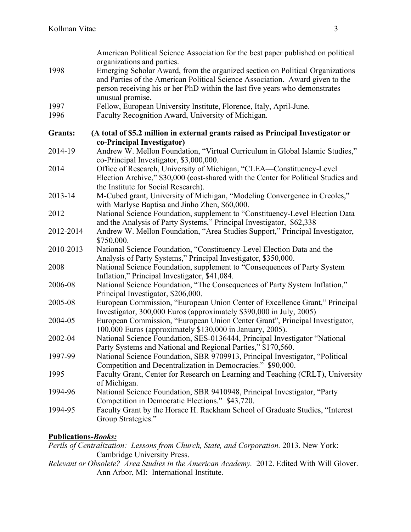| 1998           | American Political Science Association for the best paper published on political<br>organizations and parties.<br>Emerging Scholar Award, from the organized section on Political Organizations<br>and Parties of the American Political Science Association. Award given to the<br>person receiving his or her PhD within the last five years who demonstrates<br>unusual promise. |
|----------------|-------------------------------------------------------------------------------------------------------------------------------------------------------------------------------------------------------------------------------------------------------------------------------------------------------------------------------------------------------------------------------------|
| 1997           | Fellow, European University Institute, Florence, Italy, April-June.                                                                                                                                                                                                                                                                                                                 |
| 1996           | Faculty Recognition Award, University of Michigan.                                                                                                                                                                                                                                                                                                                                  |
| <b>Grants:</b> | (A total of \$5.2 million in external grants raised as Principal Investigator or                                                                                                                                                                                                                                                                                                    |
|                | co-Principal Investigator)                                                                                                                                                                                                                                                                                                                                                          |
| 2014-19        | Andrew W. Mellon Foundation, "Virtual Curriculum in Global Islamic Studies,"<br>co-Principal Investigator, \$3,000,000.                                                                                                                                                                                                                                                             |
| 2014           | Office of Research, University of Michigan, "CLEA-Constituency-Level<br>Election Archive," \$30,000 (cost-shared with the Center for Political Studies and<br>the Institute for Social Research).                                                                                                                                                                                   |
| 2013-14        | M-Cubed grant, University of Michigan, "Modeling Convergence in Creoles,"<br>with Marlyse Baptisa and Jinho Zhen, \$60,000.                                                                                                                                                                                                                                                         |
| 2012           | National Science Foundation, supplement to "Constituency-Level Election Data<br>and the Analysis of Party Systems," Principal Investigator, \$62,338                                                                                                                                                                                                                                |
| 2012-2014      | Andrew W. Mellon Foundation, "Area Studies Support," Principal Investigator,<br>\$750,000.                                                                                                                                                                                                                                                                                          |
| 2010-2013      | National Science Foundation, "Constituency-Level Election Data and the<br>Analysis of Party Systems," Principal Investigator, \$350,000.                                                                                                                                                                                                                                            |
| 2008           | National Science Foundation, supplement to "Consequences of Party System<br>Inflation," Principal Investigator, \$41,084.                                                                                                                                                                                                                                                           |
| 2006-08        | National Science Foundation, "The Consequences of Party System Inflation,"<br>Principal Investigator, \$206,000.                                                                                                                                                                                                                                                                    |
| 2005-08        | European Commission, "European Union Center of Excellence Grant," Principal<br>Investigator, 300,000 Euros (approximately \$390,000 in July, 2005)                                                                                                                                                                                                                                  |
| 2004-05        | European Commission, "European Union Center Grant", Principal Investigator,<br>100,000 Euros (approximately \$130,000 in January, 2005).                                                                                                                                                                                                                                            |
| 2002-04        | National Science Foundation, SES-0136444, Principal Investigator "National<br>Party Systems and National and Regional Parties," \$170,560.                                                                                                                                                                                                                                          |
| 1997-99        | National Science Foundation, SBR 9709913, Principal Investigator, "Political<br>Competition and Decentralization in Democracies." \$90,000.                                                                                                                                                                                                                                         |
| 1995           | Faculty Grant, Center for Research on Learning and Teaching (CRLT), University<br>of Michigan.                                                                                                                                                                                                                                                                                      |
| 1994-96        | National Science Foundation, SBR 9410948, Principal Investigator, "Party<br>Competition in Democratic Elections." \$43,720.                                                                                                                                                                                                                                                         |
| 1994-95        | Faculty Grant by the Horace H. Rackham School of Graduate Studies, "Interest"<br>Group Strategies."                                                                                                                                                                                                                                                                                 |

## **Publications-***Books:*

*Perils of Centralization: Lessons from Church, State, and Corporation.* 2013. New York: Cambridge University Press.

*Relevant or Obsolete? Area Studies in the American Academy.* 2012. Edited With Will Glover. Ann Arbor, MI: International Institute.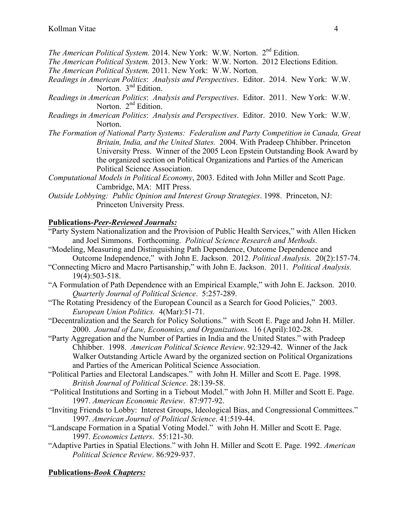- *The American Political System.* 2014. New York: W.W. Norton. 2nd Edition.
- *The American Political System.* 2013. New York: W.W. Norton. 2012 Elections Edition.
- *The American Political System.* 2011. New York: W.W. Norton.
- *Readings in American Politics*: *Analysis and Perspectives*. Editor. 2014. New York: W.W. Norton. 3<sup>nd</sup> Edition.
- *Readings in American Politics*: *Analysis and Perspectives*. Editor. 2011. New York: W.W. Norton. 2<sup>nd</sup> Edition.
- *Readings in American Politics*: *Analysis and Perspectives*. Editor. 2010. New York: W.W. Norton.
- *The Formation of National Party Systems: Federalism and Party Competition in Canada, Great Britain, India, and the United States.* 2004. With Pradeep Chhibber. Princeton University Press. Winner of the 2005 Leon Epstein Outstanding Book Award by the organized section on Political Organizations and Parties of the American Political Science Association.
- *Computational Models in Political Economy*, 2003. Edited with John Miller and Scott Page. Cambridge, MA: MIT Press.
- *Outside Lobbying: Public Opinion and Interest Group Strategies*. 1998. Princeton, NJ: Princeton University Press.

#### **Publications-***Peer-Reviewed Journals:*

- "Party System Nationalization and the Provision of Public Health Services," with Allen Hicken and Joel Simmons. Forthcoming. *Political Science Research and Methods.*
- "Modeling, Measuring and Distinguishing Path Dependence, Outcome Dependence and Outcome Independence," with John E. Jackson. 2012. *Political Analysis.* 20(2):157-74.
- "Connecting Micro and Macro Partisanship," with John E. Jackson. 2011. *Political Analysis.* 19(4):503-518.
- "A Formulation of Path Dependence with an Empirical Example," with John E. Jackson. 2010. *Quarterly Journal of Political Science*. 5:257-289.
- "The Rotating Presidency of the European Council as a Search for Good Policies," 2003. *European Union Politics.* 4(Mar):51-71.
- "Decentralization and the Search for Policy Solutions." with Scott E. Page and John H. Miller. 2000. *Journal of Law, Economics, and Organizations.* 16 (April):102-28.
- "Party Aggregation and the Number of Parties in India and the United States." with Pradeep Chhibber. 1998. *American Political Science Review*. 92:329-42. Winner of the Jack Walker Outstanding Article Award by the organized section on Political Organizations and Parties of the American Political Science Association.
- "Political Parties and Electoral Landscapes." with John H. Miller and Scott E. Page. 1998. *British Journal of Political Science*. 28:139-58.
- "Political Institutions and Sorting in a Tiebout Model." with John H. Miller and Scott E. Page. 1997. *American Economic Review*. 87:977-92.
- "Inviting Friends to Lobby: Interest Groups, Ideological Bias, and Congressional Committees." 1997. *American Journal of Political Science*. 41:519-44.
- "Landscape Formation in a Spatial Voting Model." with John H. Miller and Scott E. Page. 1997. *Economics Letters*. 55:121-30.
- "Adaptive Parties in Spatial Elections." with John H. Miller and Scott E. Page. 1992. *American Political Science Review*. 86:929-937.

## **Publications-***Book Chapters:*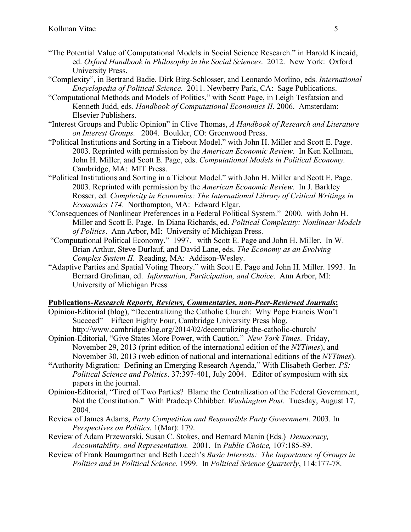- "The Potential Value of Computational Models in Social Science Research." in Harold Kincaid, ed. *Oxford Handbook in Philosophy in the Social Sciences*. 2012. New York: Oxford University Press.
- "Complexity", in Bertrand Badie, Dirk Birg-Schlosser, and Leonardo Morlino, eds. *International Encyclopedia of Political Science.* 2011. Newberry Park, CA: Sage Publications.
- "Computational Methods and Models of Politics," with Scott Page, in Leigh Tesfatsion and Kenneth Judd, eds. *Handbook of Computational Economics II*. 2006. Amsterdam: Elsevier Publishers.
- "Interest Groups and Public Opinion" in Clive Thomas, *A Handbook of Research and Literature on Interest Groups.* 2004. Boulder, CO: Greenwood Press.
- "Political Institutions and Sorting in a Tiebout Model." with John H. Miller and Scott E. Page. 2003. Reprinted with permission by the *American Economic Review*. In Ken Kollman, John H. Miller, and Scott E. Page, eds. *Computational Models in Political Economy.* Cambridge, MA: MIT Press.
- "Political Institutions and Sorting in a Tiebout Model." with John H. Miller and Scott E. Page. 2003. Reprinted with permission by the *American Economic Review*. In J. Barkley Rosser, ed. *Complexity in Economics: The International Library of Critical Writings in Economics 174*. Northampton, MA: Edward Elgar.
- "Consequences of Nonlinear Preferences in a Federal Political System." 2000. with John H. Miller and Scott E. Page. In Diana Richards, ed. *Political Complexity: Nonlinear Models of Politics*. Ann Arbor, MI: University of Michigan Press.
- "Computational Political Economy." 1997. with Scott E. Page and John H. Miller. In W. Brian Arthur, Steve Durlauf, and David Lane, eds. *The Economy as an Evolving Complex System II*. Reading, MA: Addison-Wesley.
- "Adaptive Parties and Spatial Voting Theory." with Scott E. Page and John H. Miller. 1993. In Bernard Grofman, ed. *Information, Participation, and Choice*. Ann Arbor, MI: University of Michigan Press

#### **Publications-***Research Reports, Reviews, Commentaries, non-Peer-Reviewed Journals***:**

- Opinion-Editorial (blog), "Decentralizing the Catholic Church: Why Pope Francis Won't Succeed" Fifteen Eighty Four, Cambridge University Press blog. http://www.cambridgeblog.org/2014/02/decentralizing-the-catholic-church/
- Opinion-Editorial, "Give States More Power, with Caution." *New York Times.* Friday, November 29, 2013 (print edition of the international edition of the *NYTimes*), and November 30, 2013 (web edition of national and international editions of the *NYTimes*).
- **"**Authority Migration: Defining an Emerging Research Agenda," With Elisabeth Gerber. *PS: Political Science and Politics*. 37:397-401, July 2004. Editor of symposium with six papers in the journal.
- Opinion-Editorial, "Tired of Two Parties? Blame the Centralization of the Federal Government, Not the Constitution." With Pradeep Chhibber. *Washington Post.* Tuesday, August 17, 2004.
- Review of James Adams, *Party Competition and Responsible Party Government.* 2003. In *Perspectives on Politics.* 1(Mar): 179.
- Review of Adam Przeworski, Susan C. Stokes, and Bernard Manin (Eds.) *Democracy, Accountability, and Representation.* 2001. In *Public Choice,* 107:185-89.
- Review of Frank Baumgartner and Beth Leech's *Basic Interests: The Importance of Groups in Politics and in Political Science*. 1999. In *Political Science Quarterly*, 114:177-78.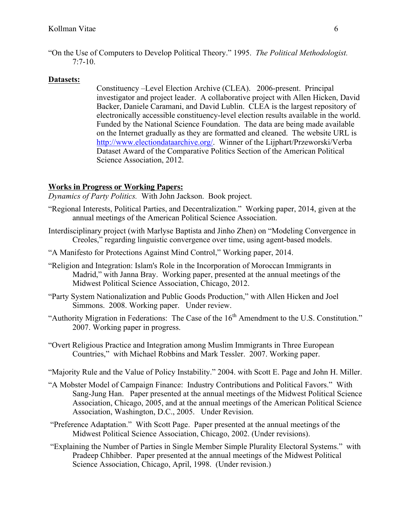"On the Use of Computers to Develop Political Theory." 1995. *The Political Methodologist.* 7:7-10.

# **Datasets:**

Constituency –Level Election Archive (CLEA). 2006-present. Principal investigator and project leader. A collaborative project with Allen Hicken, David Backer, Daniele Caramani, and David Lublin. CLEA is the largest repository of electronically accessible constituency-level election results available in the world. Funded by the National Science Foundation. The data are being made available on the Internet gradually as they are formatted and cleaned. The website URL is http://www.electiondataarchive.org/. Winner of the Lijphart/Przeworski/Verba Dataset Award of the Comparative Politics Section of the American Political Science Association, 2012.

#### **Works in Progress or Working Papers:**

*Dynamics of Party Politics.* With John Jackson. Book project.

- "Regional Interests, Political Parties, and Decentralization." Working paper, 2014, given at the annual meetings of the American Political Science Association.
- Interdisciplinary project (with Marlyse Baptista and Jinho Zhen) on "Modeling Convergence in Creoles," regarding linguistic convergence over time, using agent-based models.
- "A Manifesto for Protections Against Mind Control," Working paper, 2014.
- "Religion and Integration: Islam's Role in the Incorporation of Moroccan Immigrants in Madrid," with Janna Bray. Working paper, presented at the annual meetings of the Midwest Political Science Association, Chicago, 2012.
- "Party System Nationalization and Public Goods Production," with Allen Hicken and Joel Simmons. 2008. Working paper. Under review.
- "Authority Migration in Federations: The Case of the 16<sup>th</sup> Amendment to the U.S. Constitution." 2007. Working paper in progress.
- "Overt Religious Practice and Integration among Muslim Immigrants in Three European Countries," with Michael Robbins and Mark Tessler. 2007. Working paper.
- "Majority Rule and the Value of Policy Instability." 2004. with Scott E. Page and John H. Miller.
- "A Mobster Model of Campaign Finance: Industry Contributions and Political Favors." With Sang-Jung Han. Paper presented at the annual meetings of the Midwest Political Science Association, Chicago, 2005, and at the annual meetings of the American Political Science Association, Washington, D.C., 2005. Under Revision.
- "Preference Adaptation." With Scott Page. Paper presented at the annual meetings of the Midwest Political Science Association, Chicago, 2002. (Under revisions).
- "Explaining the Number of Parties in Single Member Simple Plurality Electoral Systems." with Pradeep Chhibber. Paper presented at the annual meetings of the Midwest Political Science Association, Chicago, April, 1998. (Under revision.)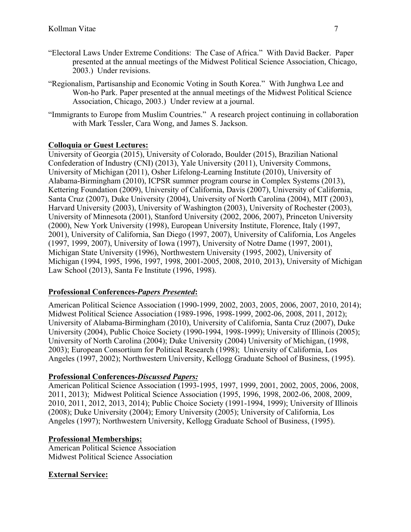- "Electoral Laws Under Extreme Conditions: The Case of Africa." With David Backer. Paper presented at the annual meetings of the Midwest Political Science Association, Chicago, 2003.) Under revisions.
- "Regionalism, Partisanship and Economic Voting in South Korea." With Junghwa Lee and Won-ho Park. Paper presented at the annual meetings of the Midwest Political Science Association, Chicago, 2003.) Under review at a journal.
- "Immigrants to Europe from Muslim Countries." A research project continuing in collaboration with Mark Tessler, Cara Wong, and James S. Jackson.

## **Colloquia or Guest Lectures:**

University of Georgia (2015), University of Colorado, Boulder (2015), Brazilian National Confederation of Industry (CNI) (2013), Yale University (2011), University Commons, University of Michigan (2011), Osher Lifelong-Learning Institute (2010), University of Alabama-Birmingham (2010), ICPSR summer program course in Complex Systems (2013), Kettering Foundation (2009), University of California, Davis (2007), University of California, Santa Cruz (2007), Duke University (2004), University of North Carolina (2004), MIT (2003), Harvard University (2003), University of Washington (2003), University of Rochester (2003), University of Minnesota (2001), Stanford University (2002, 2006, 2007), Princeton University (2000), New York University (1998), European University Institute, Florence, Italy (1997, 2001), University of California, San Diego (1997, 2007), University of California, Los Angeles (1997, 1999, 2007), University of Iowa (1997), University of Notre Dame (1997, 2001), Michigan State University (1996), Northwestern University (1995, 2002), University of Michigan (1994, 1995, 1996, 1997, 1998, 2001-2005, 2008, 2010, 2013), University of Michigan Law School (2013), Santa Fe Institute (1996, 1998).

#### **Professional Conferences-***Papers Presented***:**

American Political Science Association (1990-1999, 2002, 2003, 2005, 2006, 2007, 2010, 2014); Midwest Political Science Association (1989-1996, 1998-1999, 2002-06, 2008, 2011, 2012); University of Alabama-Birmingham (2010), University of California, Santa Cruz (2007), Duke University (2004), Public Choice Society (1990-1994, 1998-1999); University of Illinois (2005); University of North Carolina (2004); Duke University (2004) University of Michigan, (1998, 2003); European Consortium for Political Research (1998); University of California, Los Angeles (1997, 2002); Northwestern University, Kellogg Graduate School of Business, (1995).

#### **Professional Conferences-***Discussed Papers:*

American Political Science Association (1993-1995, 1997, 1999, 2001, 2002, 2005, 2006, 2008, 2011, 2013); Midwest Political Science Association (1995, 1996, 1998, 2002-06, 2008, 2009, 2010, 2011, 2012, 2013, 2014); Public Choice Society (1991-1994, 1999); University of Illinois (2008); Duke University (2004); Emory University (2005); University of California, Los Angeles (1997); Northwestern University, Kellogg Graduate School of Business, (1995).

#### **Professional Memberships:**

American Political Science Association Midwest Political Science Association

#### **External Service:**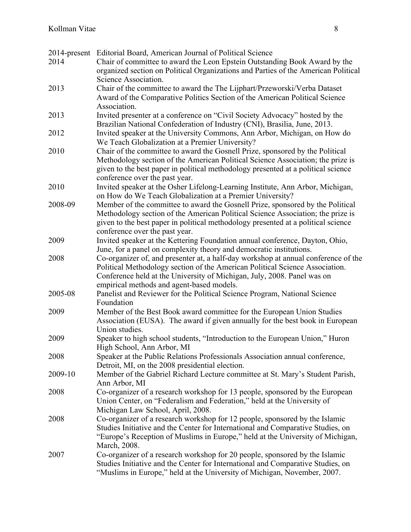|         | 2014-present Editorial Board, American Journal of Political Science                         |
|---------|---------------------------------------------------------------------------------------------|
| 2014    | Chair of committee to award the Leon Epstein Outstanding Book Award by the                  |
|         | organized section on Political Organizations and Parties of the American Political          |
|         | Science Association.                                                                        |
| 2013    | Chair of the committee to award the The Lijphart/Przeworski/Verba Dataset                   |
|         | Award of the Comparative Politics Section of the American Political Science                 |
|         | Association.                                                                                |
| 2013    | Invited presenter at a conference on "Civil Society Advocacy" hosted by the                 |
|         | Brazilian National Confederation of Industry (CNI), Brasilia, June, 2013.                   |
| 2012    | Invited speaker at the University Commons, Ann Arbor, Michigan, on How do                   |
|         | We Teach Globalization at a Premier University?                                             |
| 2010    | Chair of the committee to award the Gosnell Prize, sponsored by the Political               |
|         | Methodology section of the American Political Science Association; the prize is             |
|         | given to the best paper in political methodology presented at a political science           |
|         | conference over the past year.                                                              |
| 2010    | Invited speaker at the Osher Lifelong-Learning Institute, Ann Arbor, Michigan,              |
|         | on How do We Teach Globalization at a Premier University?                                   |
| 2008-09 | Member of the committee to award the Gosnell Prize, sponsored by the Political              |
|         | Methodology section of the American Political Science Association; the prize is             |
|         | given to the best paper in political methodology presented at a political science           |
|         | conference over the past year.                                                              |
| 2009    | Invited speaker at the Kettering Foundation annual conference, Dayton, Ohio,                |
|         | June, for a panel on complexity theory and democratic institutions.                         |
| 2008    | Co-organizer of, and presenter at, a half-day workshop at annual conference of the          |
|         | Political Methodology section of the American Political Science Association.                |
|         | Conference held at the University of Michigan, July, 2008. Panel was on                     |
|         | empirical methods and agent-based models.                                                   |
| 2005-08 | Panelist and Reviewer for the Political Science Program, National Science                   |
|         | Foundation                                                                                  |
| 2009    | Member of the Best Book award committee for the European Union Studies                      |
|         | Association (EUSA). The award if given annually for the best book in European               |
|         | Union studies.                                                                              |
| 2009    | Speaker to high school students, "Introduction to the European Union," Huron                |
|         | High School, Ann Arbor, MI                                                                  |
| 2008    | Speaker at the Public Relations Professionals Association annual conference,                |
|         | Detroit, MI, on the 2008 presidential election.                                             |
| 2009-10 | Member of the Gabriel Richard Lecture committee at St. Mary's Student Parish,               |
|         | Ann Arbor, MI                                                                               |
| 2008    | Co-organizer of a research workshop for 13 people, sponsored by the European                |
|         | Union Center, on "Federalism and Federation," held at the University of                     |
|         | Michigan Law School, April, 2008.                                                           |
| 2008    | Co-organizer of a research workshop for 12 people, sponsored by the Islamic                 |
|         | Studies Initiative and the Center for International and Comparative Studies, on             |
|         | "Europe's Reception of Muslims in Europe," held at the University of Michigan,              |
| 2007    | March, 2008.<br>Co-organizer of a research workshop for 20 people, sponsored by the Islamic |
|         | Studies Initiative and the Center for International and Comparative Studies, on             |
|         | "Muslims in Europe," held at the University of Michigan, November, 2007.                    |
|         |                                                                                             |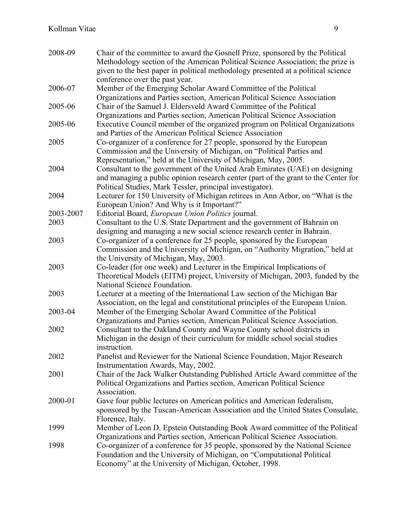| 2008-09   | Chair of the committee to award the Gosnell Prize, sponsored by the Political      |
|-----------|------------------------------------------------------------------------------------|
|           | Methodology section of the American Political Science Association; the prize is    |
|           | given to the best paper in political methodology presented at a political science  |
|           | conference over the past year.                                                     |
| 2006-07   | Member of the Emerging Scholar Award Committee of the Political                    |
|           | Organizations and Parties section, American Political Science Association          |
| 2005-06   | Chair of the Samuel J. Eldersveld Award Committee of the Political                 |
|           | Organizations and Parties section, American Political Science Association          |
| 2005-06   | Executive Council member of the organized program on Political Organizations       |
|           | and Parties of the American Political Science Association                          |
| 2005      | Co-organizer of a conference for 27 people, sponsored by the European              |
|           | Commission and the University of Michigan, on "Political Parties and               |
|           | Representation," held at the University of Michigan, May, 2005.                    |
| 2004      | Consultant to the government of the United Arab Emirates (UAE) on designing        |
|           | and managing a public opinion research center (part of the grant to the Center for |
|           | Political Studies, Mark Tessler, principal investigator).                          |
| 2004      | Lecturer for 150 University of Michigan retirees in Ann Arbor, on "What is the     |
|           | European Union? And Why is it Important?"                                          |
| 2003-2007 | Editorial Board, European Union Politics journal.                                  |
| 2003      | Consultant to the U.S. State Department and the government of Bahrain on           |
|           | designing and managing a new social science research center in Bahrain.            |
| 2003      | Co-organizer of a conference for 25 people, sponsored by the European              |
|           | Commission and the University of Michigan, on "Authority Migration," held at       |
|           | the University of Michigan, May, 2003.                                             |
| 2003      | Co-leader (for one week) and Lecturer in the Empirical Implications of             |
|           | Theoretical Models (EITM) project, University of Michigan, 2003, funded by the     |
|           | National Science Foundation.                                                       |
| 2003      | Lecturer at a meeting of the International Law section of the Michigan Bar         |
|           | Association, on the legal and constitutional principles of the European Union.     |
| 2003-04   | Member of the Emerging Scholar Award Committee of the Political                    |
|           | Organizations and Parties section, American Political Science Association.         |
| 2002      | Consultant to the Oakland County and Wayne County school districts in              |
|           | Michigan in the design of their curriculum for middle school social studies        |
|           | instruction.                                                                       |
| 2002      | Panelist and Reviewer for the National Science Foundation, Major Research          |
|           | Instrumentation Awards, May, 2002.                                                 |
| 2001      | Chair of the Jack Walker Outstanding Published Article Award committee of the      |
|           | Political Organizations and Parties section, American Political Science            |
|           | Association.                                                                       |
| 2000-01   | Gave four public lectures on American politics and American federalism,            |
|           | sponsored by the Tuscan-American Association and the United States Consulate,      |
|           | Florence, Italy.                                                                   |
| 1999      | Member of Leon D. Epstein Outstanding Book Award committee of the Political        |
|           | Organizations and Parties section, American Political Science Association.         |
| 1998      | Co-organizer of a conference for 35 people, sponsored by the National Science      |
|           | Foundation and the University of Michigan, on "Computational Political             |
|           | Economy" at the University of Michigan, October, 1998.                             |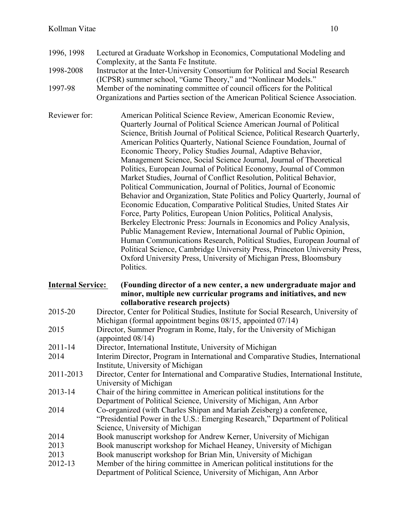- 1996, 1998 Lectured at Graduate Workshop in Economics, Computational Modeling and Complexity, at the Santa Fe Institute.
- 1998-2008 Instructor at the Inter-University Consortium for Political and Social Research (ICPSR) summer school, "Game Theory," and "Nonlinear Models."
- 1997-98 Member of the nominating committee of council officers for the Political Organizations and Parties section of the American Political Science Association.
- Reviewer for: American Political Science Review, American Economic Review, Quarterly Journal of Political Science American Journal of Political Science, British Journal of Political Science, Political Research Quarterly, American Politics Quarterly, National Science Foundation, Journal of Economic Theory, Policy Studies Journal, Adaptive Behavior, Management Science, Social Science Journal, Journal of Theoretical Politics, European Journal of Political Economy, Journal of Common Market Studies, Journal of Conflict Resolution, Political Behavior, Political Communication, Journal of Politics, Journal of Economic Behavior and Organization, State Politics and Policy Quarterly, Journal of Economic Education, Comparative Political Studies, United States Air Force, Party Politics, European Union Politics, Political Analysis, Berkeley Electronic Press: Journals in Economics and Policy Analysis, Public Management Review, International Journal of Public Opinion, Human Communications Research, Political Studies, European Journal of Political Science, Cambridge University Press, Princeton University Press, Oxford University Press, University of Michigan Press, Bloomsbury Politics.

#### **Internal Service: (Founding director of a new center, a new undergraduate major and minor, multiple new curricular programs and initiatives, and new collaborative research projects)**

- 2015-20 Director, Center for Political Studies, Institute for Social Research, University of Michigan (formal appointment begins 08/15, appointed 07/14)
- 2015 Director, Summer Program in Rome, Italy, for the University of Michigan (appointed 08/14)
- 2011-14 Director, International Institute, University of Michigan
- 2014 Interim Director, Program in International and Comparative Studies, International Institute, University of Michigan
- 2011-2013 Director, Center for International and Comparative Studies, International Institute, University of Michigan
- 2013-14 Chair of the hiring committee in American political institutions for the Department of Political Science, University of Michigan, Ann Arbor
- 2014 Co-organized (with Charles Shipan and Mariah Zeisberg) a conference, "Presidential Power in the U.S.: Emerging Research," Department of Political Science, University of Michigan
- 2014 Book manuscript workshop for Andrew Kerner, University of Michigan
- 2013 Book manuscript workshop for Michael Heaney, University of Michigan
- 2013 Book manuscript workshop for Brian Min, University of Michigan
- 2012-13 Member of the hiring committee in American political institutions for the Department of Political Science, University of Michigan, Ann Arbor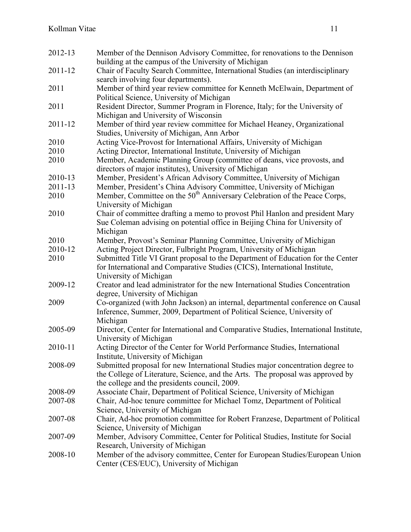| 2012-13 | Member of the Dennison Advisory Committee, for renovations to the Dennison<br>building at the campus of the University of Michigan                                                                                |
|---------|-------------------------------------------------------------------------------------------------------------------------------------------------------------------------------------------------------------------|
| 2011-12 | Chair of Faculty Search Committee, International Studies (an interdisciplinary                                                                                                                                    |
|         | search involving four departments).                                                                                                                                                                               |
| 2011    | Member of third year review committee for Kenneth McElwain, Department of<br>Political Science, University of Michigan                                                                                            |
| 2011    | Resident Director, Summer Program in Florence, Italy; for the University of<br>Michigan and University of Wisconsin                                                                                               |
| 2011-12 | Member of third year review committee for Michael Heaney, Organizational<br>Studies, University of Michigan, Ann Arbor                                                                                            |
| 2010    | Acting Vice-Provost for International Affairs, University of Michigan                                                                                                                                             |
| 2010    | Acting Director, International Institute, University of Michigan                                                                                                                                                  |
| 2010    | Member, Academic Planning Group (committee of deans, vice provosts, and<br>directors of major institutes), University of Michigan                                                                                 |
| 2010-13 | Member, President's African Advisory Committee, University of Michigan                                                                                                                                            |
| 2011-13 | Member, President's China Advisory Committee, University of Michigan                                                                                                                                              |
| 2010    | Member, Committee on the 50 <sup>th</sup> Anniversary Celebration of the Peace Corps,<br>University of Michigan                                                                                                   |
| 2010    | Chair of committee drafting a memo to provost Phil Hanlon and president Mary<br>Sue Coleman advising on potential office in Beijing China for University of<br>Michigan                                           |
| 2010    | Member, Provost's Seminar Planning Committee, University of Michigan                                                                                                                                              |
| 2010-12 | Acting Project Director, Fulbright Program, University of Michigan                                                                                                                                                |
| 2010    | Submitted Title VI Grant proposal to the Department of Education for the Center<br>for International and Comparative Studies (CICS), International Institute,                                                     |
| 2009-12 | University of Michigan<br>Creator and lead administrator for the new International Studies Concentration<br>degree, University of Michigan                                                                        |
| 2009    | Co-organized (with John Jackson) an internal, departmental conference on Causal<br>Inference, Summer, 2009, Department of Political Science, University of<br>Michigan                                            |
| 2005-09 | Director, Center for International and Comparative Studies, International Institute,<br>University of Michigan                                                                                                    |
| 2010-11 | Acting Director of the Center for World Performance Studies, International<br>Institute, University of Michigan                                                                                                   |
| 2008-09 | Submitted proposal for new International Studies major concentration degree to<br>the College of Literature, Science, and the Arts. The proposal was approved by<br>the college and the presidents council, 2009. |
| 2008-09 | Associate Chair, Department of Political Science, University of Michigan                                                                                                                                          |
| 2007-08 | Chair, Ad-hoc tenure committee for Michael Tomz, Department of Political                                                                                                                                          |
|         | Science, University of Michigan                                                                                                                                                                                   |
| 2007-08 | Chair, Ad-hoc promotion committee for Robert Franzese, Department of Political<br>Science, University of Michigan                                                                                                 |
| 2007-09 | Member, Advisory Committee, Center for Political Studies, Institute for Social<br>Research, University of Michigan                                                                                                |
| 2008-10 | Member of the advisory committee, Center for European Studies/European Union<br>Center (CES/EUC), University of Michigan                                                                                          |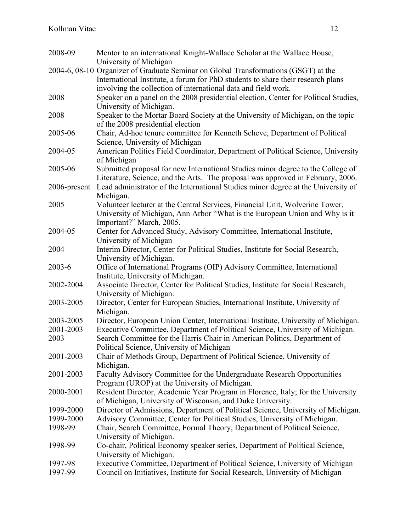| 2008-09      | Mentor to an international Knight-Wallace Scholar at the Wallace House,<br>University of Michigan                                                                      |
|--------------|------------------------------------------------------------------------------------------------------------------------------------------------------------------------|
|              | 2004-6, 08-10 Organizer of Graduate Seminar on Global Transformations (GSGT) at the<br>International Institute, a forum for PhD students to share their research plans |
|              | involving the collection of international data and field work.                                                                                                         |
| 2008         | Speaker on a panel on the 2008 presidential election, Center for Political Studies,                                                                                    |
|              | University of Michigan.                                                                                                                                                |
| 2008         | Speaker to the Mortar Board Society at the University of Michigan, on the topic<br>of the 2008 presidential election                                                   |
| 2005-06      | Chair, Ad-hoc tenure committee for Kenneth Scheve, Department of Political                                                                                             |
|              | Science, University of Michigan                                                                                                                                        |
| 2004-05      | American Politics Field Coordinator, Department of Political Science, University                                                                                       |
|              | of Michigan                                                                                                                                                            |
| 2005-06      | Submitted proposal for new International Studies minor degree to the College of                                                                                        |
|              |                                                                                                                                                                        |
|              | Literature, Science, and the Arts. The proposal was approved in February, 2006.                                                                                        |
| 2006-present | Lead administrator of the International Studies minor degree at the University of<br>Michigan.                                                                         |
|              |                                                                                                                                                                        |
| 2005         | Volunteer lecturer at the Central Services, Financial Unit, Wolverine Tower,                                                                                           |
|              | University of Michigan, Ann Arbor "What is the European Union and Why is it                                                                                            |
|              | Important?" March, 2005.                                                                                                                                               |
| 2004-05      | Center for Advanced Study, Advisory Committee, International Institute,                                                                                                |
|              | University of Michigan                                                                                                                                                 |
| 2004         | Interim Director, Center for Political Studies, Institute for Social Research,                                                                                         |
|              | University of Michigan.                                                                                                                                                |
| 2003-6       | Office of International Programs (OIP) Advisory Committee, International                                                                                               |
|              | Institute, University of Michigan.                                                                                                                                     |
| 2002-2004    | Associate Director, Center for Political Studies, Institute for Social Research,                                                                                       |
|              | University of Michigan.                                                                                                                                                |
| 2003-2005    | Director, Center for European Studies, International Institute, University of                                                                                          |
|              | Michigan.                                                                                                                                                              |
| 2003-2005    | Director, European Union Center, International Institute, University of Michigan.                                                                                      |
| 2001-2003    | Executive Committee, Department of Political Science, University of Michigan.                                                                                          |
| 2003         | Search Committee for the Harris Chair in American Politics, Department of                                                                                              |
|              | Political Science, University of Michigan                                                                                                                              |
| 2001-2003    | Chair of Methods Group, Department of Political Science, University of                                                                                                 |
|              | Michigan.                                                                                                                                                              |
| 2001-2003    | Faculty Advisory Committee for the Undergraduate Research Opportunities                                                                                                |
|              | Program (UROP) at the University of Michigan.                                                                                                                          |
| 2000-2001    | Resident Director, Academic Year Program in Florence, Italy; for the University                                                                                        |
|              | of Michigan, University of Wisconsin, and Duke University.                                                                                                             |
| 1999-2000    | Director of Admissions, Department of Political Science, University of Michigan.                                                                                       |
| 1999-2000    | Advisory Committee, Center for Political Studies, University of Michigan.                                                                                              |
| 1998-99      | Chair, Search Committee, Formal Theory, Department of Political Science,                                                                                               |
|              | University of Michigan.                                                                                                                                                |
| 1998-99      | Co-chair, Political Economy speaker series, Department of Political Science,                                                                                           |
|              | University of Michigan.                                                                                                                                                |
| 1997-98      | Executive Committee, Department of Political Science, University of Michigan                                                                                           |
| 1997-99      | Council on Initiatives, Institute for Social Research, University of Michigan                                                                                          |